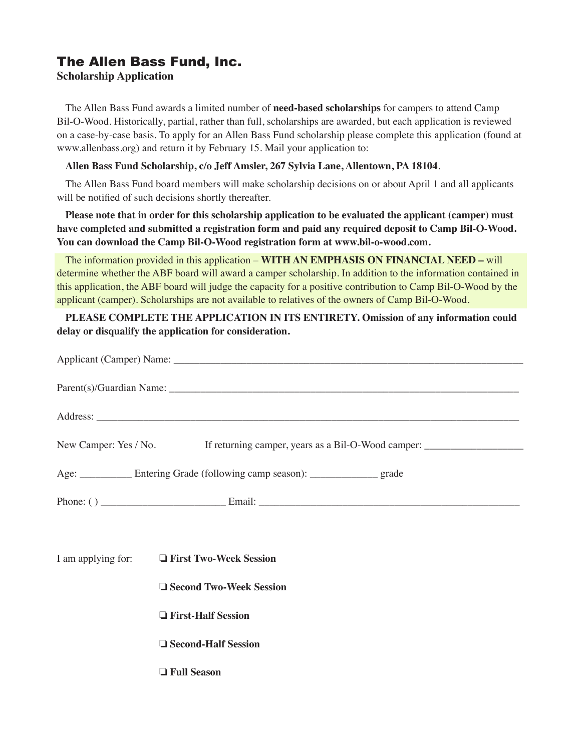# The Allen Bass Fund, Inc.

### **Scholarship Application**

The Allen Bass Fund awards a limited number of **need-based scholarships** for campers to attend Camp Bil-O-Wood. Historically, partial, rather than full, scholarships are awarded, but each application is reviewed on a case-by-case basis. To apply for an Allen Bass Fund scholarship please complete this application (found at www.allenbass.org) and return it by February 15. Mail your application to:

#### **Allen Bass Fund Scholarship, c/o Jeff Amsler, 267 Sylvia Lane, Allentown, PA 18104**.

The Allen Bass Fund board members will make scholarship decisions on or about April 1 and all applicants will be notified of such decisions shortly thereafter.

### **Please note that in order for this scholarship application to be evaluated the applicant (camper) must have completed and submitted a registration form and paid any required deposit to Camp Bil-O-Wood. You can download the Camp Bil-O-Wood registration form at www.bil-o-wood.com.**

The information provided in this application – **WITH AN EMPHASIS ON FINANCIAL NEED –** will determine whether the ABF board will award a camper scholarship. In addition to the information contained in this application, the ABF board will judge the capacity for a positive contribution to Camp Bil-O-Wood by the applicant (camper). Scholarships are not available to relatives of the owners of Camp Bil-O-Wood.

### **PLEASE COMPLETE THE APPLICATION IN ITS ENTIRETY. Omission of any information could delay or disqualify the application for consideration.**

|                                                                                 | New Camper: Yes / No. If returning camper, years as a Bil-O-Wood camper: ___________________________ |
|---------------------------------------------------------------------------------|------------------------------------------------------------------------------------------------------|
| Age: _____________ Entering Grade (following camp season): ______________ grade |                                                                                                      |
|                                                                                 |                                                                                                      |
|                                                                                 |                                                                                                      |
|                                                                                 | I am applying for: □ First Two-Week Session                                                          |
|                                                                                 | □ Second Two-Week Session                                                                            |
|                                                                                 | <b>The First-Half Session</b>                                                                        |
|                                                                                 | □ Second-Half Session                                                                                |
|                                                                                 | □ Full Season                                                                                        |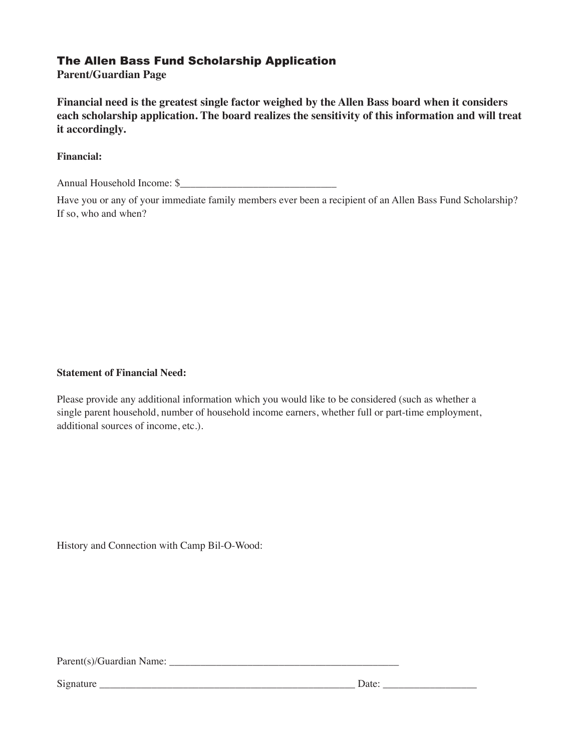## The Allen Bass Fund Scholarship Application

**Parent/Guardian Page**

**Financial need is the greatest single factor weighed by the Allen Bass board when it considers each scholarship application. The board realizes the sensitivity of this information and will treat it accordingly.**

### **Financial:**

Annual Household Income: \$

Have you or any of your immediate family members ever been a recipient of an Allen Bass Fund Scholarship? If so, who and when?

#### **Statement of Financial Need:**

Please provide any additional information which you would like to be considered (such as whether a single parent household, number of household income earners, whether full or part-time employment, additional sources of income, etc.).

History and Connection with Camp Bil-O-Wood:

Parent(s)/Guardian Name: \_\_\_\_\_\_\_\_\_\_\_\_\_\_\_\_\_\_\_\_\_\_\_\_\_\_\_\_\_\_\_\_\_\_\_\_\_\_\_\_\_\_\_\_

Signature \_\_\_\_\_\_\_\_\_\_\_\_\_\_\_\_\_\_\_\_\_\_\_\_\_\_\_\_\_\_\_\_\_\_\_\_\_\_\_\_\_\_\_\_\_\_\_\_\_ Date: \_\_\_\_\_\_\_\_\_\_\_\_\_\_\_\_\_\_